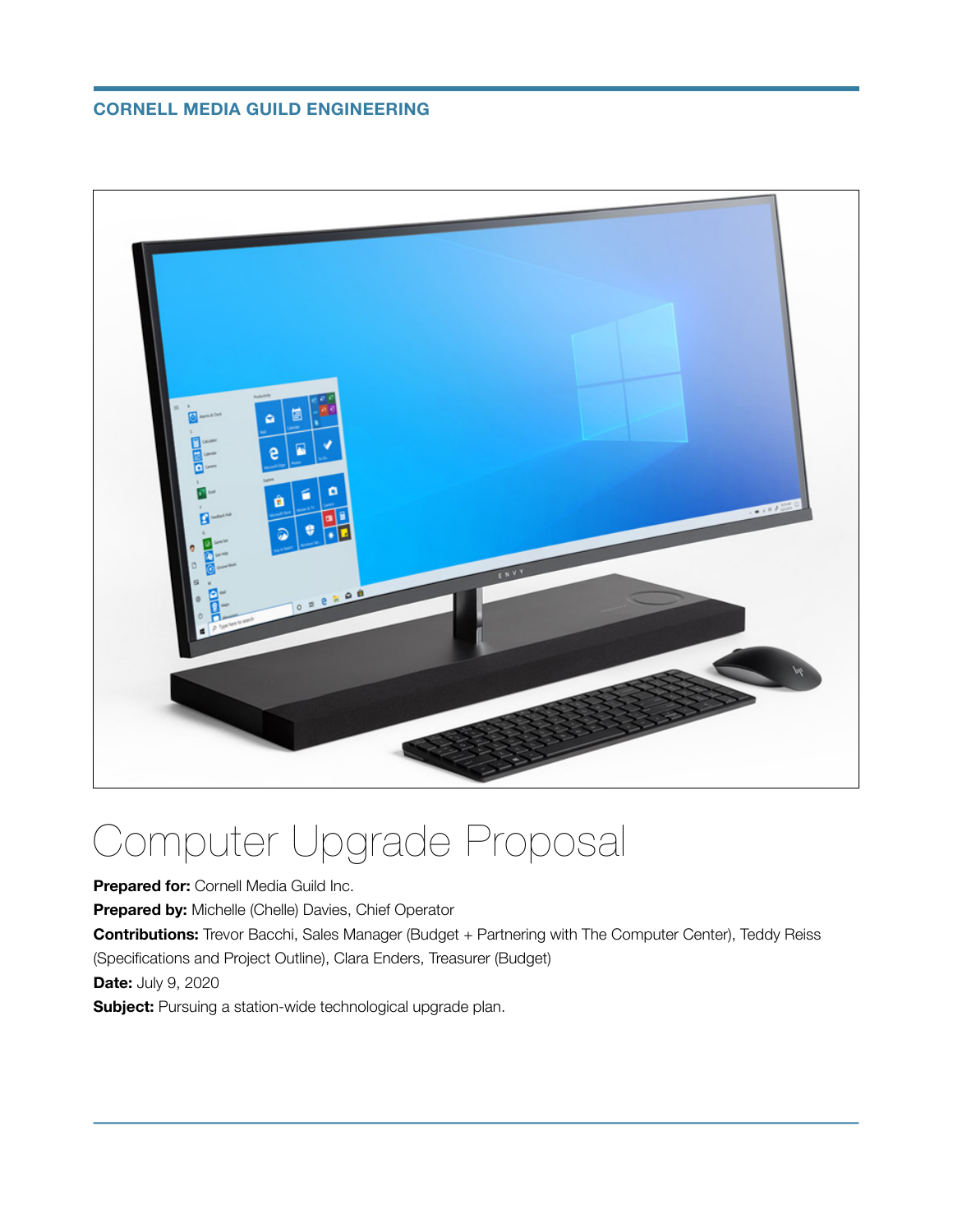#### **CORNELL MEDIA GUILD ENGINEERING**



# Computer Upgrade Proposal

**Prepared for:** Cornell Media Guild Inc.

**Prepared by:** Michelle (Chelle) Davies, Chief Operator

**Contributions:** Trevor Bacchi, Sales Manager (Budget + Partnering with The Computer Center), Teddy Reiss (Specifications and Project Outline), Clara Enders, Treasurer (Budget)

**Date:** July 9, 2020

**Subject:** Pursuing a station-wide technological upgrade plan.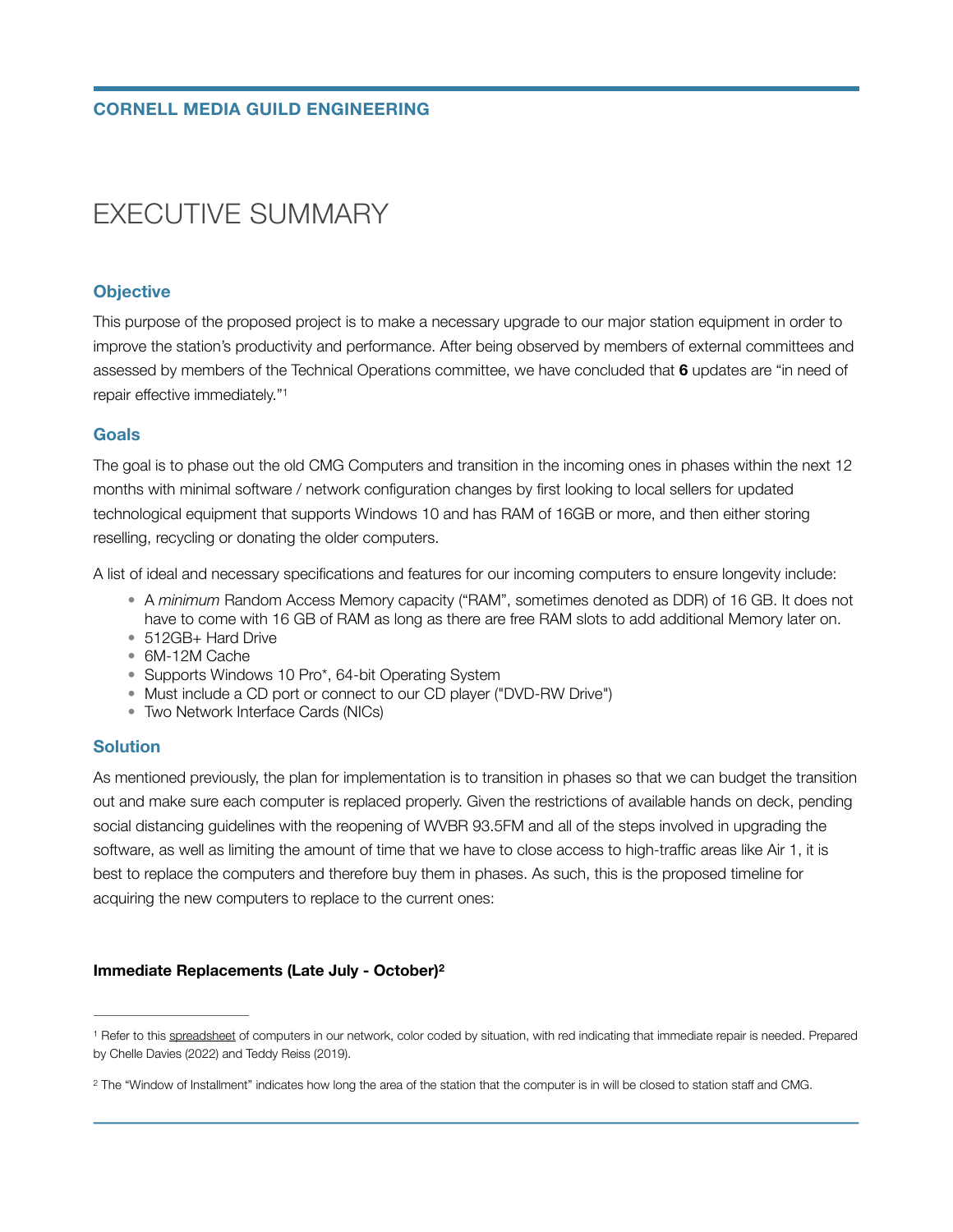### EXECUTIVE SUMMARY

#### **Objective**

This purpose of the proposed project is to make a necessary upgrade to our major station equipment in order to improve the station's productivity and performance. After being observed by members of external committees and assessed by members of the Technical Operations committee, we have concluded that **6** updates are "in need of repair effective immediately."[1](#page-1-0)

#### <span id="page-1-2"></span>**Goals**

The goal is to phase out the old CMG Computers and transition in the incoming ones in phases within the next 12 months with minimal software / network configuration changes by first looking to local sellers for updated technological equipment that supports Windows 10 and has RAM of 16GB or more, and then either storing reselling, recycling or donating the older computers.

A list of ideal and necessary specifications and features for our incoming computers to ensure longevity include:

- A *minimum* Random Access Memory capacity ("RAM", sometimes denoted as DDR) of 16 GB. It does not have to come with 16 GB of RAM as long as there are free RAM slots to add additional Memory later on.
- 512GB+ Hard Drive
- 6M-12M Cache
- Supports Windows 10 Pro\*, 64-bit Operating System
- Must include a CD port or connect to our CD player ("DVD-RW Drive")
- Two Network Interface Cards (NICs)

#### **Solution**

As mentioned previously, the plan for implementation is to transition in phases so that we can budget the transition out and make sure each computer is replaced properly. Given the restrictions of available hands on deck, pending social distancing guidelines with the reopening of WVBR 93.5FM and all of the steps involved in upgrading the software, as well as limiting the amount of time that we have to close access to high-traffic areas like Air 1, it is best to replace the computers and therefore buy them in phases. As such, this is the proposed timeline for acquiring the new computers to replace to the current ones:

#### <span id="page-1-3"></span>**Immediate Replacements (Late July - October)[2](#page-1-1)**

<span id="page-1-0"></span><sup>&</sup>lt;sup>1</sup>Refer to this [spreadsheet](https://docs.google.com/spreadsheets/d/1iuqrwp_sqxhaUfiedBgxFufYWY0J0CYhXTKRB92-M1s/edit?usp=sharing) of computers in our network, color coded by situation, with red indicating that immediate repair is needed. Prepared by Chelle Davies (2022) and Teddy Reiss (2019).

<span id="page-1-1"></span><sup>&</sup>lt;sup>[2](#page-1-3)</sup> The "Window of Installment" indicates how long the area of the station that the computer is in will be closed to station staff and CMG.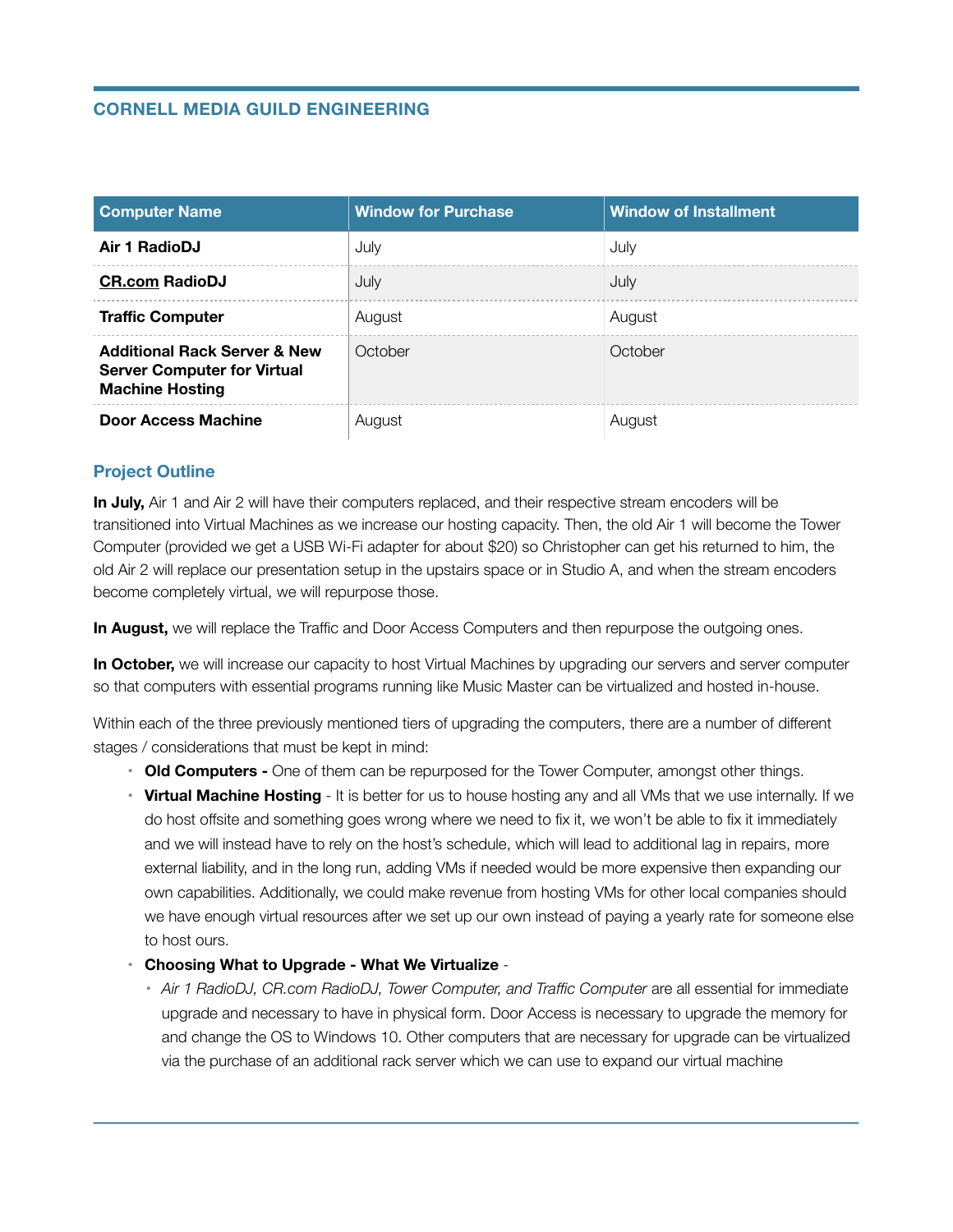#### **CORNELL MEDIA GUILD ENGINEERING**

| <b>Computer Name</b>                                                                                    | <b>Window for Purchase</b> | <b>Window of Installment</b> |
|---------------------------------------------------------------------------------------------------------|----------------------------|------------------------------|
| Air 1 RadioDJ                                                                                           | July                       | July                         |
| <b>CR.com RadioDJ</b>                                                                                   | July                       | July                         |
| <b>Traffic Computer</b>                                                                                 | August                     | August                       |
| <b>Additional Rack Server &amp; New</b><br><b>Server Computer for Virtual</b><br><b>Machine Hosting</b> | October                    | October                      |
| <b>Door Access Machine</b>                                                                              | August                     | August                       |

#### **Project Outline**

In July, Air 1 and Air 2 will have their computers replaced, and their respective stream encoders will be transitioned into Virtual Machines as we increase our hosting capacity. Then, the old Air 1 will become the Tower Computer (provided we get a USB Wi-Fi adapter for about \$20) so Christopher can get his returned to him, the old Air 2 will replace our presentation setup in the upstairs space or in Studio A, and when the stream encoders become completely virtual, we will repurpose those.

**In August,** we will replace the Traffic and Door Access Computers and then repurpose the outgoing ones.

**In October,** we will increase our capacity to host Virtual Machines by upgrading our servers and server computer so that computers with essential programs running like Music Master can be virtualized and hosted in-house.

Within each of the three previously mentioned tiers of upgrading the computers, there are a number of different stages / considerations that must be kept in mind:

- **• Old Computers** One of them can be repurposed for the Tower Computer, amongst other things.
- **• Virtual Machine Hosting**  It is better for us to house hosting any and all VMs that we use internally. If we do host offsite and something goes wrong where we need to fix it, we won't be able to fix it immediately and we will instead have to rely on the host's schedule, which will lead to additional lag in repairs, more external liability, and in the long run, adding VMs if needed would be more expensive then expanding our own capabilities. Additionally, we could make revenue from hosting VMs for other local companies should we have enough virtual resources after we set up our own instead of paying a yearly rate for someone else to host ours.
- **• Choosing What to Upgrade What We Virtualize** 
	- Air 1 RadioDJ, CR.com RadioDJ, Tower Computer, and Traffic Computer are all essential for immediate upgrade and necessary to have in physical form. Door Access is necessary to upgrade the memory for and change the OS to Windows 10. Other computers that are necessary for upgrade can be virtualized via the purchase of an additional rack server which we can use to expand our virtual machine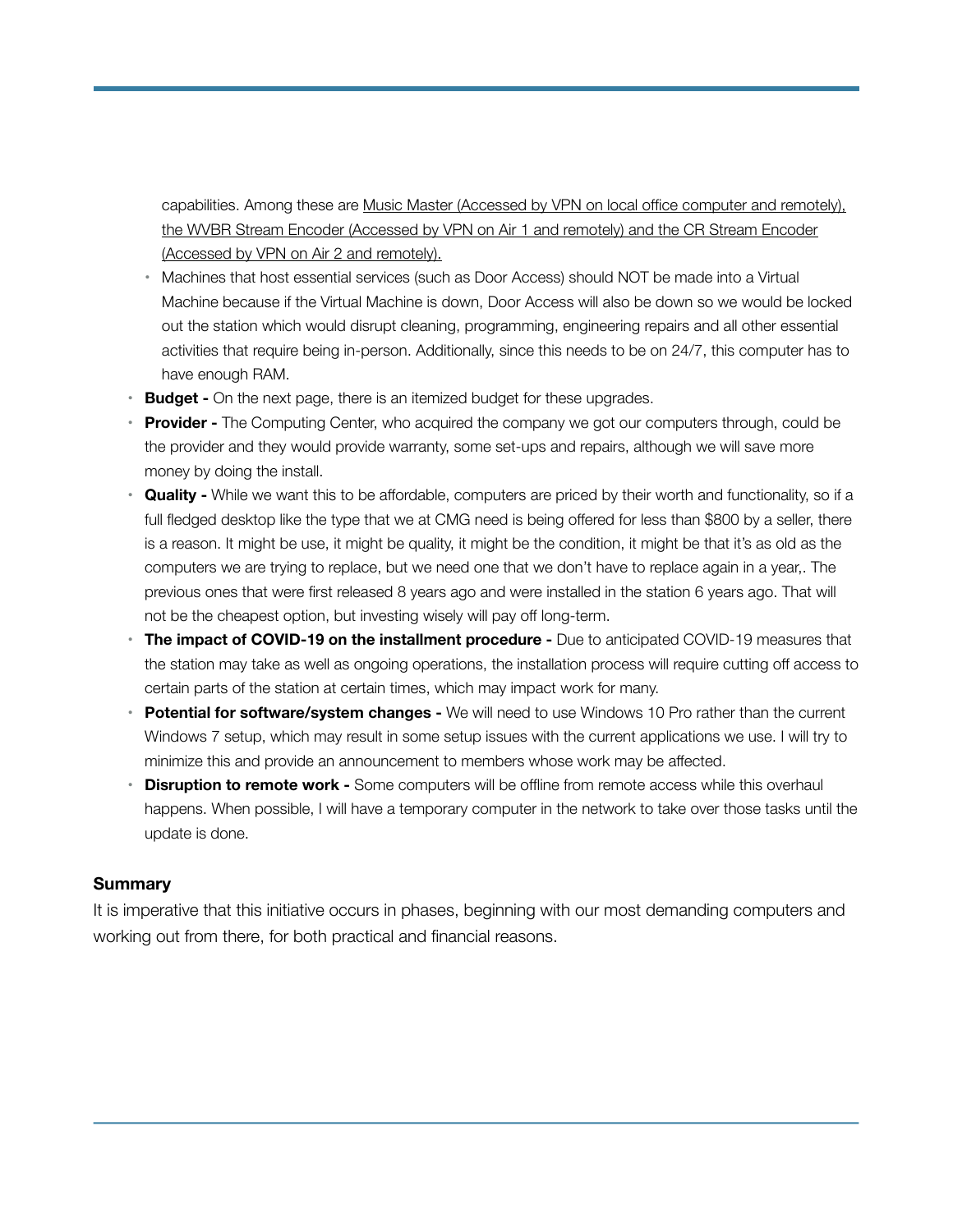capabilities. Among these are Music Master (Accessed by VPN on local office computer and remotely), the WVBR Stream Encoder (Accessed by VPN on Air 1 and remotely) and the CR Stream Encoder (Accessed by VPN on Air 2 and remotely).

- **•** Machines that host essential services (such as Door Access) should NOT be made into a Virtual Machine because if the Virtual Machine is down, Door Access will also be down so we would be locked out the station which would disrupt cleaning, programming, engineering repairs and all other essential activities that require being in-person. Additionally, since this needs to be on 24/7, this computer has to have enough RAM.
- **Budget -** On the next page, there is an itemized budget for these upgrades.
- **• Provider** The Computing Center, who acquired the company we got our computers through, could be the provider and they would provide warranty, some set-ups and repairs, although we will save more money by doing the install.
- **• Quality** While we want this to be affordable, computers are priced by their worth and functionality, so if a full fledged desktop like the type that we at CMG need is being offered for less than \$800 by a seller, there is a reason. It might be use, it might be quality, it might be the condition, it might be that it's as old as the computers we are trying to replace, but we need one that we don't have to replace again in a year,. The previous ones that were first released 8 years ago and were installed in the station 6 years ago. That will not be the cheapest option, but investing wisely will pay off long-term.
- **The impact of COVID-19 on the installment procedure -** Due to anticipated COVID-19 measures that the station may take as well as ongoing operations, the installation process will require cutting off access to certain parts of the station at certain times, which may impact work for many.
- **• Potential for software/system changes** We will need to use Windows 10 Pro rather than the current Windows 7 setup, which may result in some setup issues with the current applications we use. I will try to minimize this and provide an announcement to members whose work may be affected.
- **Disruption to remote work -** Some computers will be offline from remote access while this overhaul happens. When possible, I will have a temporary computer in the network to take over those tasks until the update is done.

#### **Summary**

It is imperative that this initiative occurs in phases, beginning with our most demanding computers and working out from there, for both practical and financial reasons.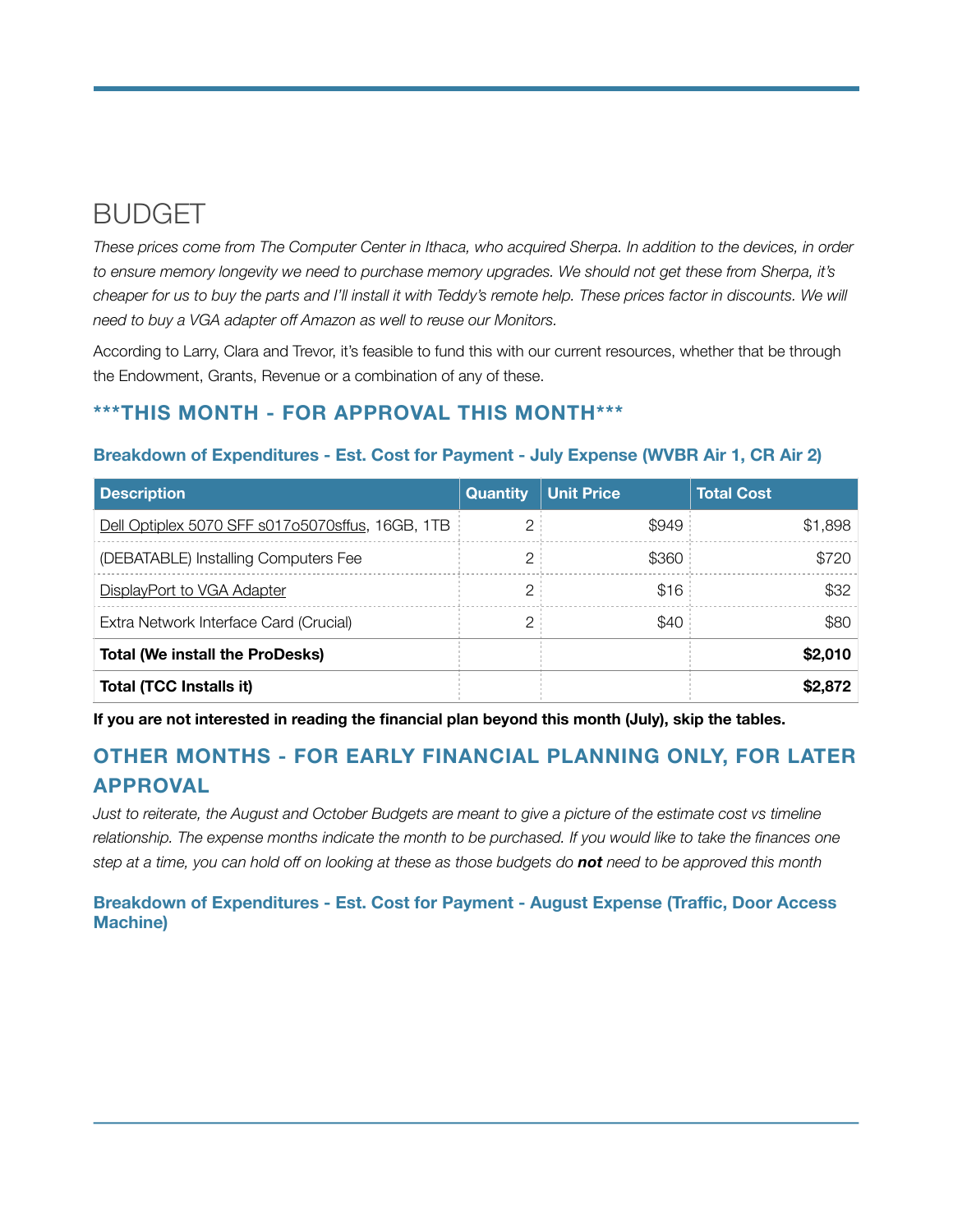## **BUDGET**

*These prices come from The Computer Center in Ithaca, who acquired Sherpa. In addition to the devices, in order to ensure memory longevity we need to purchase memory upgrades. We should not get these from Sherpa, it's cheaper for us to buy the parts and I'll install it with Teddy's remote help. These prices factor in discounts. We will need to buy a VGA adapter off Amazon as well to reuse our Monitors.* 

According to Larry, Clara and Trevor, it's feasible to fund this with our current resources, whether that be through the Endowment, Grants, Revenue or a combination of any of these.

#### **\*\*\*THIS MONTH - FOR APPROVAL THIS MONTH\*\*\***

| <b>Description</b>                               | <b>Quantity</b> | <b>Unit Price</b> | <b>Total Cost</b> |
|--------------------------------------------------|-----------------|-------------------|-------------------|
| Dell Optiplex 5070 SFF s017o5070sffus, 16GB, 1TB | 2               | \$949             | \$1,898           |
| (DEBATABLE) Installing Computers Fee             | 2               | \$360             | \$720             |
| DisplayPort to VGA Adapter                       | 2               | \$16              | \$32              |
| Extra Network Interface Card (Crucial)           | 2               | \$40              | \$80              |
| <b>Total (We install the ProDesks)</b>           |                 |                   | \$2,010           |
| Total (TCC Installs it)                          |                 |                   | \$2,872           |

#### **Breakdown of Expenditures - Est. Cost for Payment - July Expense (WVBR Air 1, CR Air 2)**

**If you are not interested in reading the financial plan beyond this month (July), skip the tables.** 

### **OTHER MONTHS - FOR EARLY FINANCIAL PLANNING ONLY, FOR LATER APPROVAL**

*Just to reiterate, the August and October Budgets are meant to give a picture of the estimate cost vs timeline*  relationship. The expense months indicate the month to be purchased. If you would like to take the finances one *step at a time, you can hold off on looking at these as those budgets do not need to be approved this month* 

**Breakdown of Expenditures - Est. Cost for Payment - August Expense (Traffic, Door Access Machine)**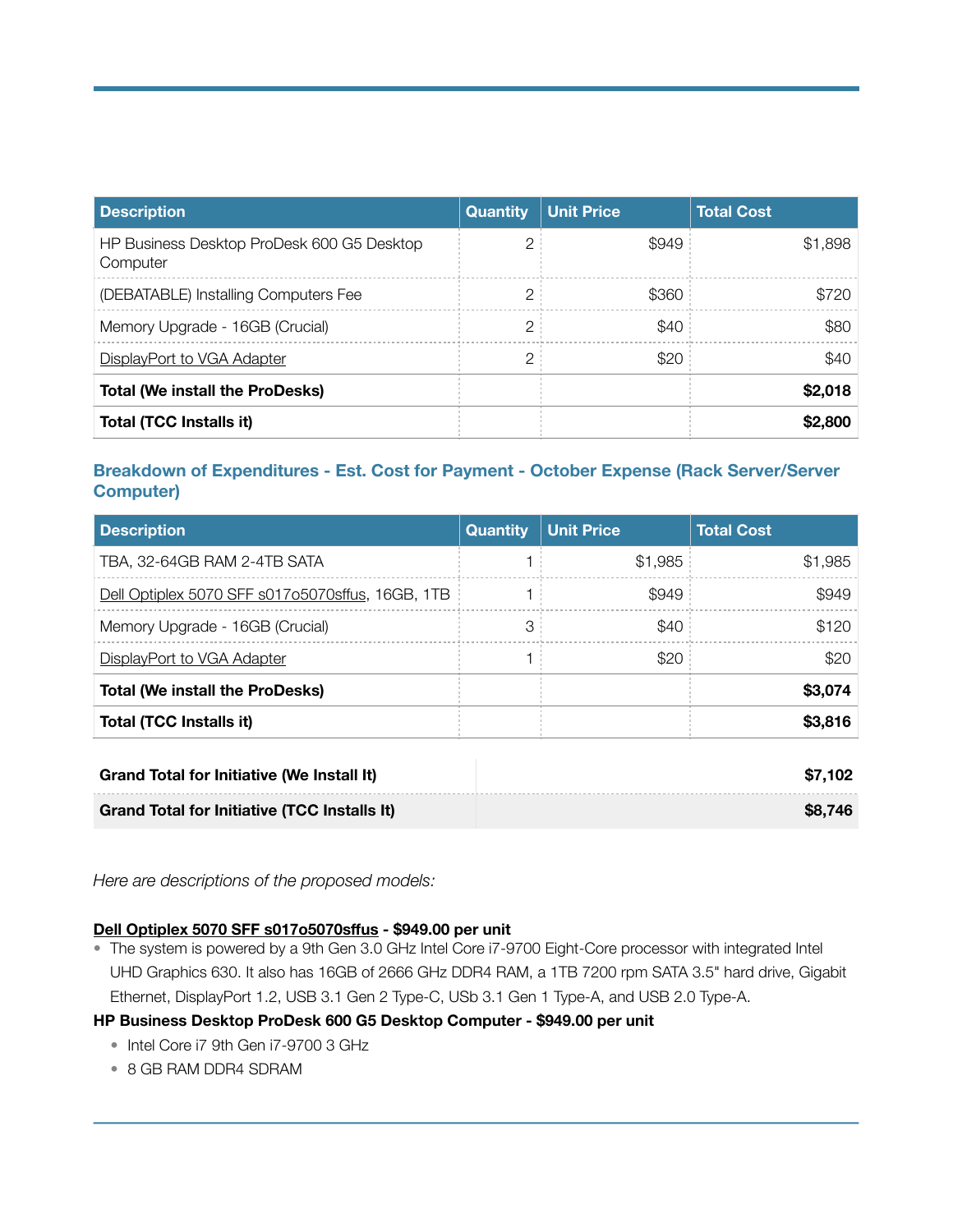| <b>Description</b>                                     | <b>Quantity</b> | <b>Unit Price</b> | <b>Total Cost</b> |
|--------------------------------------------------------|-----------------|-------------------|-------------------|
| HP Business Desktop ProDesk 600 G5 Desktop<br>Computer | 2               | \$949             | \$1,898           |
| (DEBATABLE) Installing Computers Fee                   | 2               | \$360             | \$720             |
| Memory Upgrade - 16GB (Crucial)                        | 2               | \$40              | \$80              |
| DisplayPort to VGA Adapter                             | 2               | \$20              | \$40              |
| <b>Total (We install the ProDesks)</b>                 |                 |                   | \$2,018           |
| Total (TCC Installs it)                                |                 |                   | \$2,800           |

#### **Breakdown of Expenditures - Est. Cost for Payment - October Expense (Rack Server/Server Computer)**

| <b>Description</b>                               | <b>Quantity</b> | <b>Unit Price</b> | <b>Total Cost</b> |
|--------------------------------------------------|-----------------|-------------------|-------------------|
| TBA, 32-64GB RAM 2-4TB SATA                      |                 | \$1,985           | \$1,985           |
| Dell Optiplex 5070 SFF s017o5070sffus, 16GB, 1TB |                 | \$949             | \$949             |
| Memory Upgrade - 16GB (Crucial)                  | 3               | \$40              | \$120             |
| DisplayPort to VGA Adapter                       |                 | \$20              | \$20              |
| <b>Total (We install the ProDesks)</b>           |                 |                   | \$3,074           |
| <b>Total (TCC Installs it)</b>                   |                 |                   | \$3,816           |

| <b>Grand Total for Initiative (We Install It)</b>   | \$7,102 |
|-----------------------------------------------------|---------|
| <b>Grand Total for Initiative (TCC Installs It)</b> | \$8.746 |

*Here are descriptions of the proposed models:* 

#### **[Dell Optiplex 5070 SFF s017o5070s](https://www.bhphotovideo.com/c/product/1494808-REG/dell_16fnh_optiplex_5070_sff_i7_9700.html/specs)ffus - \$949.00 per unit**

• The system is powered by a 9th Gen 3.0 GHz Intel Core i7-9700 Eight-Core processor with integrated Intel UHD Graphics 630. It also has 16GB of 2666 GHz DDR4 RAM, a 1TB 7200 rpm SATA 3.5" hard drive, Gigabit Ethernet, DisplayPort 1.2, USB 3.1 Gen 2 Type-C, USb 3.1 Gen 1 Type-A, and USB 2.0 Type-A.

#### **HP Business Desktop ProDesk 600 G5 Desktop Computer - \$949.00 per unit**

- Intel Core i7 9th Gen i7-9700 3 GHz
- 8 GB RAM DDR4 SDRAM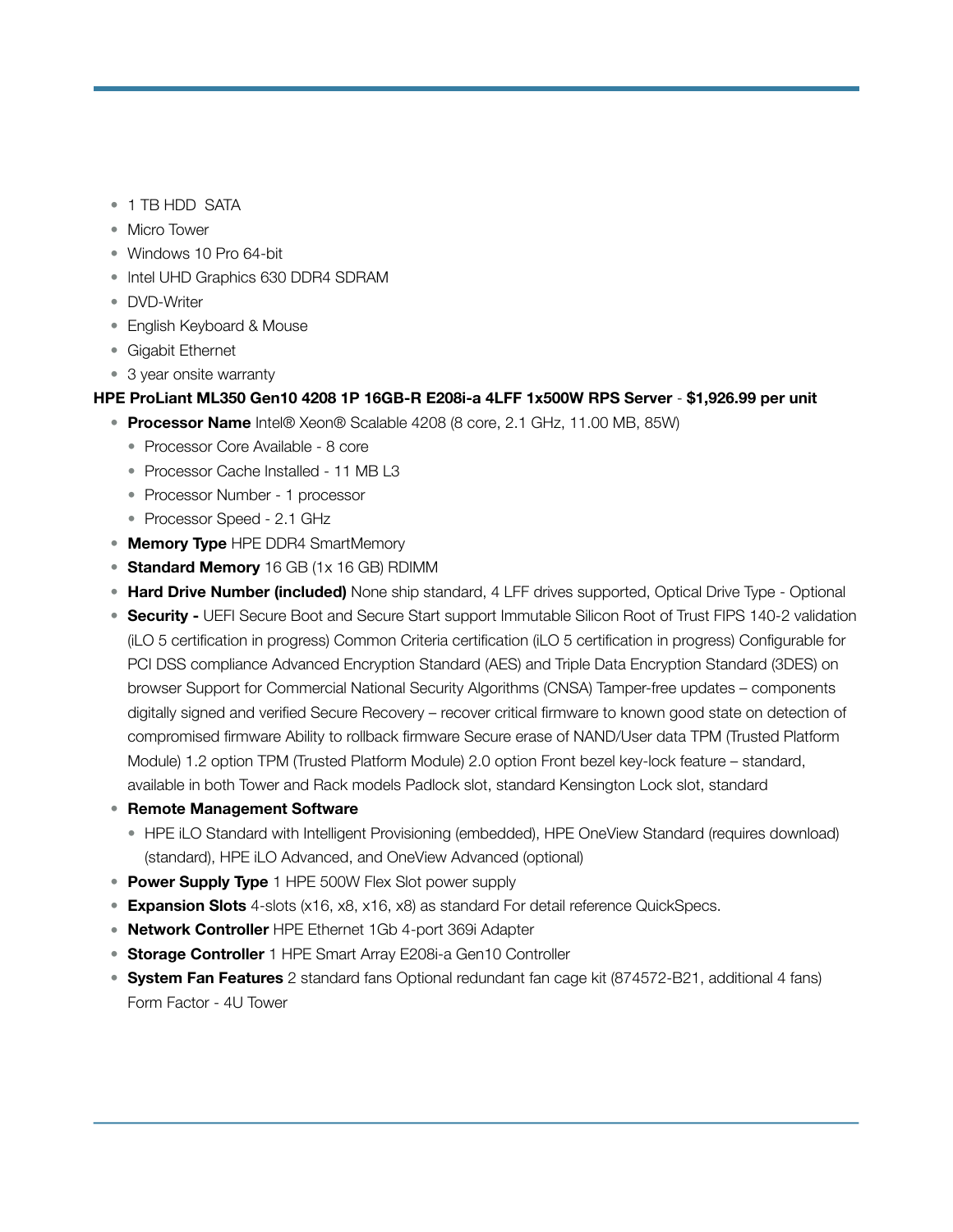- 1 TB HDD SATA
- Micro Tower
- Windows 10 Pro 64-bit
- Intel UHD Graphics 630 DDR4 SDRAM
- DVD-Writer
- English Keyboard & Mouse
- Gigabit Ethernet
- 3 year onsite warranty

#### **HPE ProLiant ML350 Gen10 4208 1P 16GB-R E208i-a 4LFF 1x500W RPS Server** - **\$1,926.99 per unit**

- **Processor Name** Intel® Xeon® Scalable 4208 (8 core, 2.1 GHz, 11.00 MB, 85W)
	- Processor Core Available 8 core
	- Processor Cache Installed 11 MB L3
	- Processor Number 1 processor
	- Processor Speed 2.1 GHz
- **Memory Type** HPE DDR4 SmartMemory
- **Standard Memory** 16 GB (1x 16 GB) RDIMM
- **Hard Drive Number (included)** None ship standard, 4 LFF drives supported, Optical Drive Type Optional
- **Security** UEFI Secure Boot and Secure Start support Immutable Silicon Root of Trust FIPS 140-2 validation (iLO 5 certification in progress) Common Criteria certification (iLO 5 certification in progress) Configurable for PCI DSS compliance Advanced Encryption Standard (AES) and Triple Data Encryption Standard (3DES) on browser Support for Commercial National Security Algorithms (CNSA) Tamper-free updates – components digitally signed and verified Secure Recovery – recover critical firmware to known good state on detection of compromised firmware Ability to rollback firmware Secure erase of NAND/User data TPM (Trusted Platform Module) 1.2 option TPM (Trusted Platform Module) 2.0 option Front bezel key-lock feature – standard, available in both Tower and Rack models Padlock slot, standard Kensington Lock slot, standard
- **Remote Management Software** 
	- HPE iLO Standard with Intelligent Provisioning (embedded), HPE OneView Standard (requires download) (standard), HPE iLO Advanced, and OneView Advanced (optional)
- **Power Supply Type** 1 HPE 500W Flex Slot power supply
- **Expansion Slots** 4-slots (x16, x8, x16, x8) as standard For detail reference QuickSpecs.
- **Network Controller** HPE Ethernet 1Gb 4-port 369i Adapter
- **Storage Controller** 1 HPE Smart Array E208i-a Gen10 Controller
- **System Fan Features** 2 standard fans Optional redundant fan cage kit (874572-B21, additional 4 fans) Form Factor - 4U Tower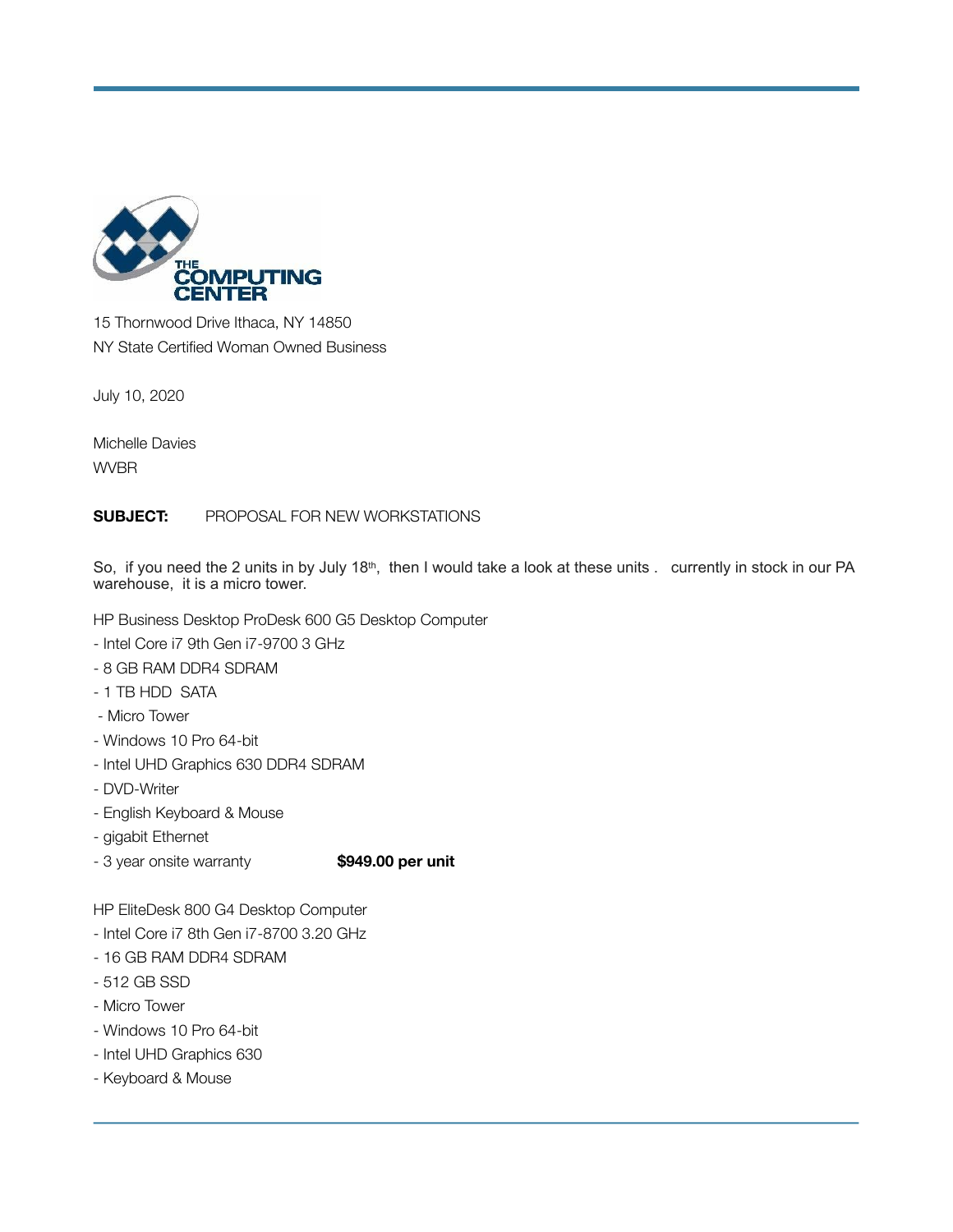

15 Thornwood Drive Ithaca, NY 14850 NY State Certified Woman Owned Business

July 10, 2020

Michelle Davies WVBR

#### **SUBJECT:** PROPOSAL FOR NEW WORKSTATIONS

So, if you need the 2 units in by July 18<sup>th</sup>, then I would take a look at these units . currently in stock in our PA warehouse, it is a micro tower.

HP Business Desktop ProDesk 600 G5 Desktop Computer

- Intel Core i7 9th Gen i7-9700 3 GHz
- 8 GB RAM DDR4 SDRAM
- 1 TB HDD SATA
- Micro Tower
- Windows 10 Pro 64-bit
- Intel UHD Graphics 630 DDR4 SDRAM
- DVD-Writer
- English Keyboard & Mouse
- gigabit Ethernet
- 3 year onsite warranty **\$949.00 per unit**

HP EliteDesk 800 G4 Desktop Computer

- Intel Core i7 8th Gen i7-8700 3.20 GHz
- 16 GB RAM DDR4 SDRAM
- 512 GB SSD
- Micro Tower
- Windows 10 Pro 64-bit
- Intel UHD Graphics 630
- Keyboard & Mouse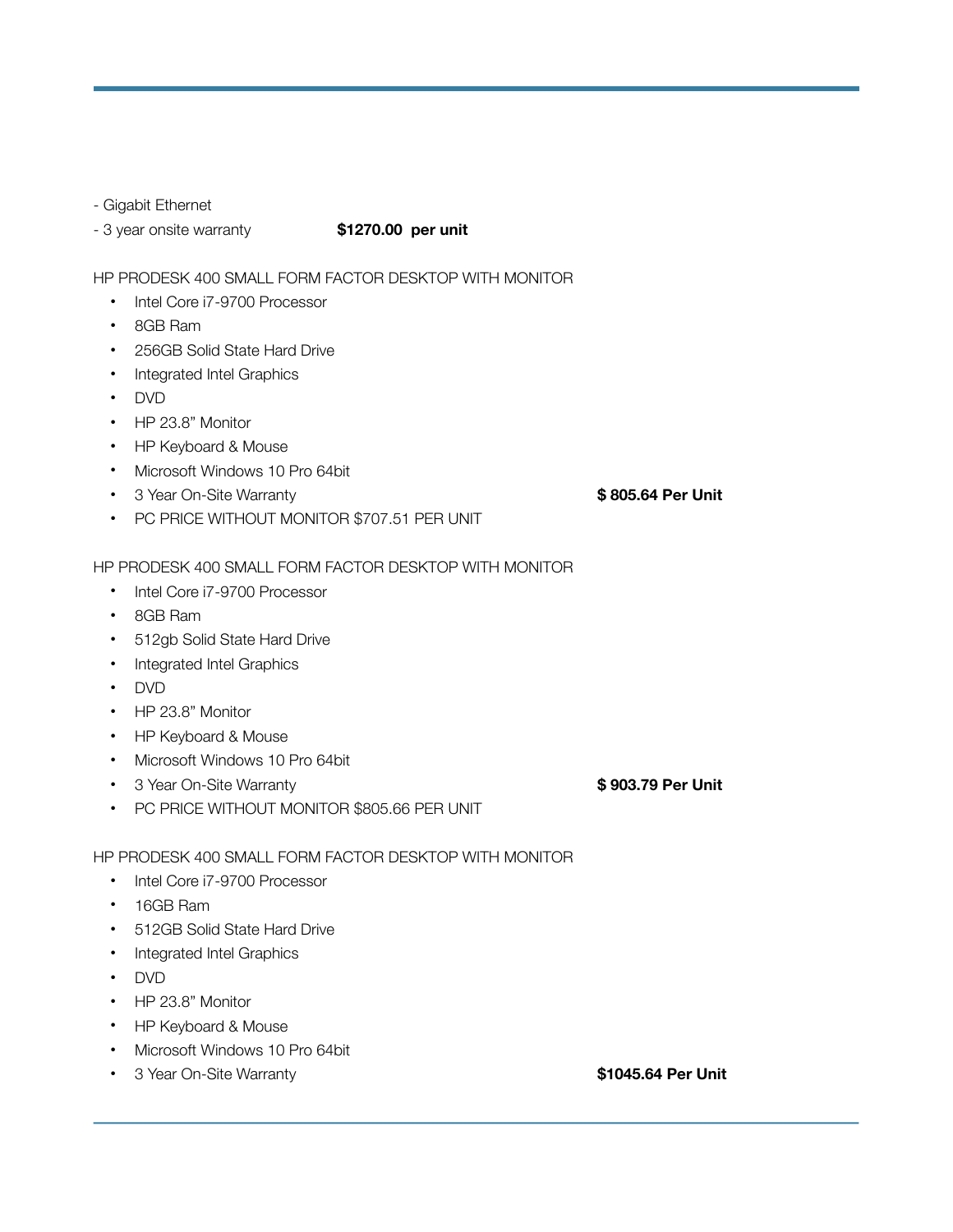#### - Gigabit Ethernet

- 3 year onsite warranty **\$1270.00 per unit**

#### HP PRODESK 400 SMALL FORM FACTOR DESKTOP WITH MONITOR

- Intel Core i7-9700 Processor
- 8GB Ram
- 256GB Solid State Hard Drive
- Integrated Intel Graphics
- DVD
- HP 23.8" Monitor
- HP Keyboard & Mouse
- Microsoft Windows 10 Pro 64bit
- 3 Year On-Site Warranty  **State State Control Control & 805.64 Per Unit**
- PC PRICE WITHOUT MONITOR \$707.51 PER UNIT

#### HP PRODESK 400 SMALL FORM FACTOR DESKTOP WITH MONITOR

- Intel Core i7-9700 Processor
- 8GB Ram
- 512gb Solid State Hard Drive
- Integrated Intel Graphics
- DVD
- HP 23.8" Monitor
- HP Keyboard & Mouse
- Microsoft Windows 10 Pro 64bit
- 3 Year On-Site Warranty  **Section Account 1 Contract Section 4 Section 4 Section 4 Section 4 Section 4 Section 4 Section 4 Section 4 Section 4 Section 4 Section 4 Section 4 Section 4 Section 4 Section 4 Section 4 Sect**

• PC PRICE WITHOUT MONITOR \$805.66 PER UNIT

HP PRODESK 400 SMALL FORM FACTOR DESKTOP WITH MONITOR

- Intel Core i7-9700 Processor
- 16GB Ram
- 512GB Solid State Hard Drive
- Integrated Intel Graphics
- DVD
- HP 23.8" Monitor
- HP Keyboard & Mouse
- Microsoft Windows 10 Pro 64bit
- 3 Year On-Site Warranty **89 Market Struck and Struck and Struck Struck Struck Struck Struck Struck Struck Struck**